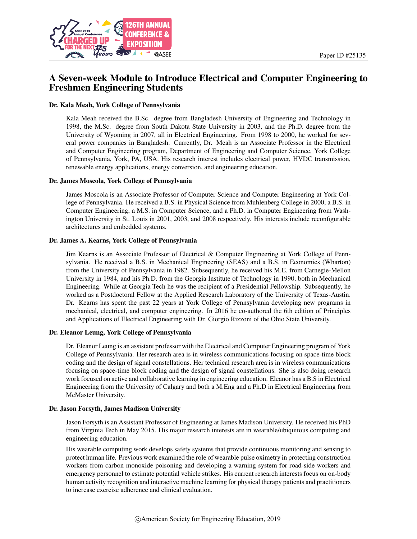

# A Seven-week Module to Introduce Electrical and Computer Engineering to Freshmen Engineering Students

#### Dr. Kala Meah, York College of Pennsylvania

Kala Meah received the B.Sc. degree from Bangladesh University of Engineering and Technology in 1998, the M.Sc. degree from South Dakota State University in 2003, and the Ph.D. degree from the University of Wyoming in 2007, all in Electrical Engineering. From 1998 to 2000, he worked for several power companies in Bangladesh. Currently, Dr. Meah is an Associate Professor in the Electrical and Computer Engineering program, Department of Engineering and Computer Science, York College of Pennsylvania, York, PA, USA. His research interest includes electrical power, HVDC transmission, renewable energy applications, energy conversion, and engineering education.

#### Dr. James Moscola, York College of Pennsylvania

James Moscola is an Associate Professor of Computer Science and Computer Engineering at York College of Pennsylvania. He received a B.S. in Physical Science from Muhlenberg College in 2000, a B.S. in Computer Engineering, a M.S. in Computer Science, and a Ph.D. in Computer Engineering from Washington University in St. Louis in 2001, 2003, and 2008 respectively. His interests include reconfigurable architectures and embedded systems.

#### Dr. James A. Kearns, York College of Pennsylvania

Jim Kearns is an Associate Professor of Electrical & Computer Engineering at York College of Pennsylvania. He received a B.S. in Mechanical Engineering (SEAS) and a B.S. in Economics (Wharton) from the University of Pennsylvania in 1982. Subsequently, he received his M.E. from Carnegie-Mellon University in 1984, and his Ph.D. from the Georgia Institute of Technology in 1990, both in Mechanical Engineering. While at Georgia Tech he was the recipient of a Presidential Fellowship. Subsequently, he worked as a Postdoctoral Fellow at the Applied Research Laboratory of the University of Texas-Austin. Dr. Kearns has spent the past 22 years at York College of Pennsylvania developing new programs in mechanical, electrical, and computer engineering. In 2016 he co-authored the 6th edition of Principles and Applications of Electrical Engineering with Dr. Giorgio Rizzoni of the Ohio State University.

#### Dr. Eleanor Leung, York College of Pennsylvania

Dr. Eleanor Leung is an assistant professor with the Electrical and Computer Engineering program of York College of Pennsylvania. Her research area is in wireless communications focusing on space-time block coding and the design of signal constellations. Her technical research area is in wireless communications focusing on space-time block coding and the design of signal constellations. She is also doing research work focused on active and collaborative learning in engineering education. Eleanor has a B.S in Electrical Engineering from the University of Calgary and both a M.Eng and a Ph.D in Electrical Engineering from McMaster University.

#### Dr. Jason Forsyth, James Madison University

Jason Forsyth is an Assistant Professor of Engineering at James Madison University. He received his PhD from Virginia Tech in May 2015. His major research interests are in wearable/ubiquitous computing and engineering education.

His wearable computing work develops safety systems that provide continuous monitoring and sensing to protect human life. Previous work examined the role of wearable pulse oximetry in protecting construction workers from carbon monoxide poisoning and developing a warning system for road-side workers and emergency personnel to estimate potential vehicle strikes. His current research interests focus on on-body human activity recognition and interactive machine learning for physical therapy patients and practitioners to increase exercise adherence and clinical evaluation.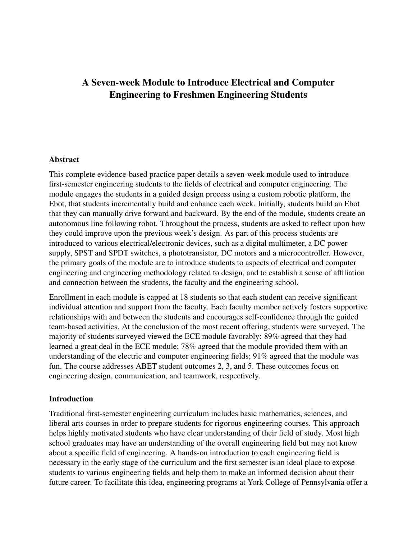# A Seven-week Module to Introduce Electrical and Computer Engineering to Freshmen Engineering Students

### Abstract

This complete evidence-based practice paper details a seven-week module used to introduce first-semester engineering students to the fields of electrical and computer engineering. The module engages the students in a guided design process using a custom robotic platform, the Ebot, that students incrementally build and enhance each week. Initially, students build an Ebot that they can manually drive forward and backward. By the end of the module, students create an autonomous line following robot. Throughout the process, students are asked to reflect upon how they could improve upon the previous week's design. As part of this process students are introduced to various electrical/electronic devices, such as a digital multimeter, a DC power supply, SPST and SPDT switches, a phototransistor, DC motors and a microcontroller. However, the primary goals of the module are to introduce students to aspects of electrical and computer engineering and engineering methodology related to design, and to establish a sense of affiliation and connection between the students, the faculty and the engineering school.

Enrollment in each module is capped at 18 students so that each student can receive significant individual attention and support from the faculty. Each faculty member actively fosters supportive relationships with and between the students and encourages self-confidence through the guided team-based activities. At the conclusion of the most recent offering, students were surveyed. The majority of students surveyed viewed the ECE module favorably: 89% agreed that they had learned a great deal in the ECE module; 78% agreed that the module provided them with an understanding of the electric and computer engineering fields; 91% agreed that the module was fun. The course addresses ABET student outcomes 2, 3, and 5. These outcomes focus on engineering design, communication, and teamwork, respectively.

### **Introduction**

Traditional first-semester engineering curriculum includes basic mathematics, sciences, and liberal arts courses in order to prepare students for rigorous engineering courses. This approach helps highly motivated students who have clear understanding of their field of study. Most high school graduates may have an understanding of the overall engineering field but may not know about a specific field of engineering. A hands-on introduction to each engineering field is necessary in the early stage of the curriculum and the first semester is an ideal place to expose students to various engineering fields and help them to make an informed decision about their future career. To facilitate this idea, engineering programs at York College of Pennsylvania offer a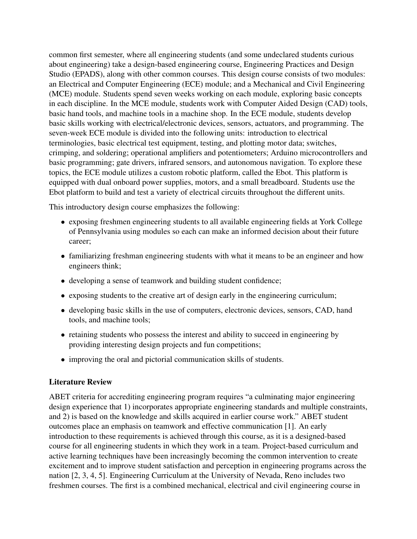common first semester, where all engineering students (and some undeclared students curious about engineering) take a design-based engineering course, Engineering Practices and Design Studio (EPADS), along with other common courses. This design course consists of two modules: an Electrical and Computer Engineering (ECE) module; and a Mechanical and Civil Engineering (MCE) module. Students spend seven weeks working on each module, exploring basic concepts in each discipline. In the MCE module, students work with Computer Aided Design (CAD) tools, basic hand tools, and machine tools in a machine shop. In the ECE module, students develop basic skills working with electrical/electronic devices, sensors, actuators, and programming. The seven-week ECE module is divided into the following units: introduction to electrical terminologies, basic electrical test equipment, testing, and plotting motor data; switches, crimping, and soldering; operational amplifiers and potentiometers; Arduino microcontrollers and basic programming; gate drivers, infrared sensors, and autonomous navigation. To explore these topics, the ECE module utilizes a custom robotic platform, called the Ebot. This platform is equipped with dual onboard power supplies, motors, and a small breadboard. Students use the Ebot platform to build and test a variety of electrical circuits throughout the different units.

This introductory design course emphasizes the following:

- exposing freshmen engineering students to all available engineering fields at York College of Pennsylvania using modules so each can make an informed decision about their future career;
- familiarizing freshman engineering students with what it means to be an engineer and how engineers think;
- developing a sense of teamwork and building student confidence;
- exposing students to the creative art of design early in the engineering curriculum;
- developing basic skills in the use of computers, electronic devices, sensors, CAD, hand tools, and machine tools;
- retaining students who possess the interest and ability to succeed in engineering by providing interesting design projects and fun competitions;
- improving the oral and pictorial communication skills of students.

# Literature Review

ABET criteria for accrediting engineering program requires "a culminating major engineering design experience that 1) incorporates appropriate engineering standards and multiple constraints, and 2) is based on the knowledge and skills acquired in earlier course work." ABET student outcomes place an emphasis on teamwork and effective communication [\[1\]](#page-12-0). An early introduction to these requirements is achieved through this course, as it is a designed-based course for all engineering students in which they work in a team. Project-based curriculum and active learning techniques have been increasingly becoming the common intervention to create excitement and to improve student satisfaction and perception in engineering programs across the nation [\[2,](#page-12-1) [3,](#page-12-2) [4,](#page-12-3) [5\]](#page-12-4). Engineering Curriculum at the University of Nevada, Reno includes two freshmen courses. The first is a combined mechanical, electrical and civil engineering course in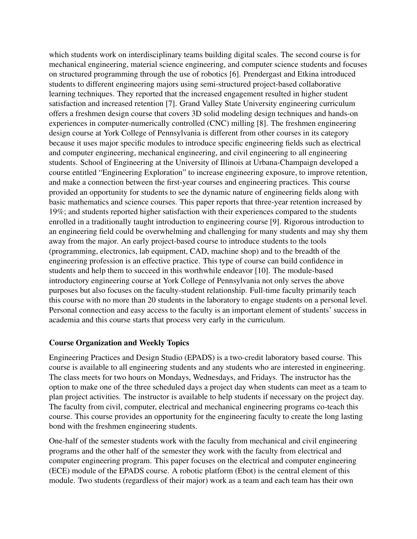which students work on interdisciplinary teams building digital scales. The second course is for mechanical engineering, material science engineering, and computer science students and focuses on structured programming through the use of robotics [\[6\]](#page-12-5). Prendergast and Etkina introduced students to different engineering majors using semi-structured project-based collaborative learning techniques. They reported that the increased engagement resulted in higher student satisfaction and increased retention [\[7\]](#page-12-6). Grand Valley State University engineering curriculum offers a freshmen design course that covers 3D solid modeling design techniques and hands-on experiences in computer-numerically controlled (CNC) milling [\[8\]](#page-12-7). The freshmen engineering design course at York College of Pennsylvania is different from other courses in its category because it uses major specific modules to introduce specific engineering fields such as electrical and computer engineering, mechanical engineering, and civil engineering to all engineering students. School of Engineering at the University of Illinois at Urbana-Champaign developed a course entitled "Engineering Exploration" to increase engineering exposure, to improve retention, and make a connection between the first-year courses and engineering practices. This course provided an opportunity for students to see the dynamic nature of engineering fields along with basic mathematics and science courses. This paper reports that three-year retention increased by 19%; and students reported higher satisfaction with their experiences compared to the students enrolled in a traditionally taught introduction to engineering course [\[9\]](#page-12-8). Rigorous introduction to an engineering field could be overwhelming and challenging for many students and may shy them away from the major. An early project-based course to introduce students to the tools (programming, electronics, lab equipment, CAD, machine shop) and to the breadth of the engineering profession is an effective practice. This type of course can build confidence in students and help them to succeed in this worthwhile endeavor [\[10\]](#page-12-9). The module-based introductory engineering course at York College of Pennsylvania not only serves the above purposes but also focuses on the faculty-student relationship. Full-time faculty primarily teach this course with no more than 20 students in the laboratory to engage students on a personal level. Personal connection and easy access to the faculty is an important element of students' success in academia and this course starts that process very early in the curriculum.

### Course Organization and Weekly Topics

Engineering Practices and Design Studio (EPADS) is a two-credit laboratory based course. This course is available to all engineering students and any students who are interested in engineering. The class meets for two hours on Mondays, Wednesdays, and Fridays. The instructor has the option to make one of the three scheduled days a project day when students can meet as a team to plan project activities. The instructor is available to help students if necessary on the project day. The faculty from civil, computer, electrical and mechanical engineering programs co-teach this course. This course provides an opportunity for the engineering faculty to create the long lasting bond with the freshmen engineering students.

One-half of the semester students work with the faculty from mechanical and civil engineering programs and the other half of the semester they work with the faculty from electrical and computer engineering program. This paper focuses on the electrical and computer engineering (ECE) module of the EPADS course. A robotic platform (Ebot) is the central element of this module. Two students (regardless of their major) work as a team and each team has their own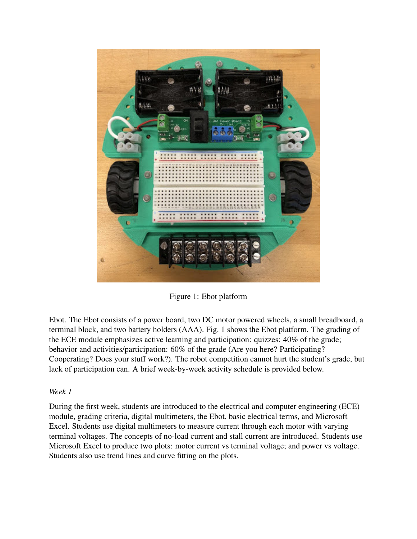

Figure 1: Ebot platform

<span id="page-4-0"></span>Ebot. The Ebot consists of a power board, two DC motor powered wheels, a small breadboard, a terminal block, and two battery holders (AAA). Fig. [1](#page-4-0) shows the Ebot platform. The grading of the ECE module emphasizes active learning and participation: quizzes: 40% of the grade; behavior and activities/participation: 60% of the grade (Are you here? Participating? Cooperating? Does your stuff work?). The robot competition cannot hurt the student's grade, but lack of participation can. A brief week-by-week activity schedule is provided below.

# *Week 1*

During the first week, students are introduced to the electrical and computer engineering (ECE) module, grading criteria, digital multimeters, the Ebot, basic electrical terms, and Microsoft Excel. Students use digital multimeters to measure current through each motor with varying terminal voltages. The concepts of no-load current and stall current are introduced. Students use Microsoft Excel to produce two plots: motor current vs terminal voltage; and power vs voltage. Students also use trend lines and curve fitting on the plots.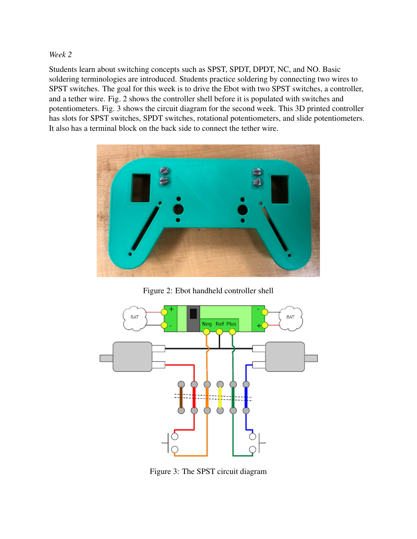### *Week 2*

Students learn about switching concepts such as SPST, SPDT, DPDT, NC, and NO. Basic soldering terminologies are introduced. Students practice soldering by connecting two wires to SPST switches. The goal for this week is to drive the Ebot with two SPST switches, a controller, and a tether wire. Fig. [2](#page-5-0) shows the controller shell before it is populated with switches and potentiometers. Fig. [3](#page-5-1) shows the circuit diagram for the second week. This 3D printed controller has slots for SPST switches, SPDT switches, rotational potentiometers, and slide potentiometers. It also has a terminal block on the back side to connect the tether wire.



Figure 2: Ebot handheld controller shell

<span id="page-5-0"></span>

<span id="page-5-1"></span>Figure 3: The SPST circuit diagram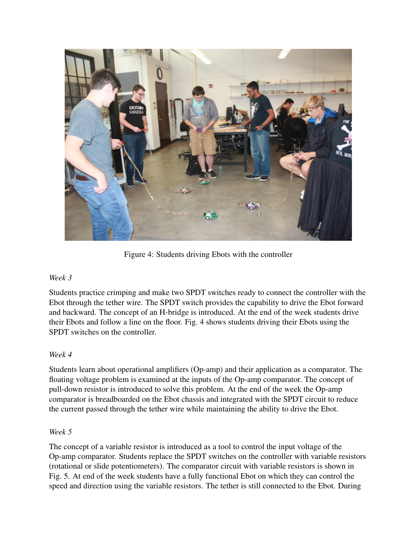

Figure 4: Students driving Ebots with the controller

# <span id="page-6-0"></span>*Week 3*

Students practice crimping and make two SPDT switches ready to connect the controller with the Ebot through the tether wire. The SPDT switch provides the capability to drive the Ebot forward and backward. The concept of an H-bridge is introduced. At the end of the week students drive their Ebots and follow a line on the floor. Fig. [4](#page-6-0) shows students driving their Ebots using the SPDT switches on the controller.

# *Week 4*

Students learn about operational amplifiers (Op-amp) and their application as a comparator. The floating voltage problem is examined at the inputs of the Op-amp comparator. The concept of pull-down resistor is introduced to solve this problem. At the end of the week the Op-amp comparator is breadboarded on the Ebot chassis and integrated with the SPDT circuit to reduce the current passed through the tether wire while maintaining the ability to drive the Ebot.

### *Week 5*

The concept of a variable resistor is introduced as a tool to control the input voltage of the Op-amp comparator. Students replace the SPDT switches on the controller with variable resistors (rotational or slide potentiometers). The comparator circuit with variable resistors is shown in Fig. [5.](#page-7-0) At end of the week students have a fully functional Ebot on which they can control the speed and direction using the variable resistors. The tether is still connected to the Ebot. During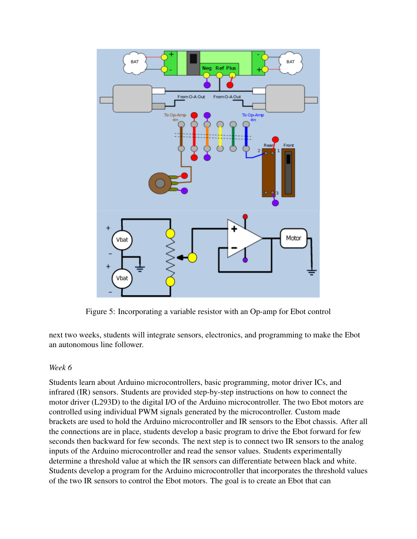

<span id="page-7-0"></span>Figure 5: Incorporating a variable resistor with an Op-amp for Ebot control

next two weeks, students will integrate sensors, electronics, and programming to make the Ebot an autonomous line follower.

### *Week 6*

Students learn about Arduino microcontrollers, basic programming, motor driver ICs, and infrared (IR) sensors. Students are provided step-by-step instructions on how to connect the motor driver (L293D) to the digital I/O of the Arduino microcontroller. The two Ebot motors are controlled using individual PWM signals generated by the microcontroller. Custom made brackets are used to hold the Arduino microcontroller and IR sensors to the Ebot chassis. After all the connections are in place, students develop a basic program to drive the Ebot forward for few seconds then backward for few seconds. The next step is to connect two IR sensors to the analog inputs of the Arduino microcontroller and read the sensor values. Students experimentally determine a threshold value at which the IR sensors can differentiate between black and white. Students develop a program for the Arduino microcontroller that incorporates the threshold values of the two IR sensors to control the Ebot motors. The goal is to create an Ebot that can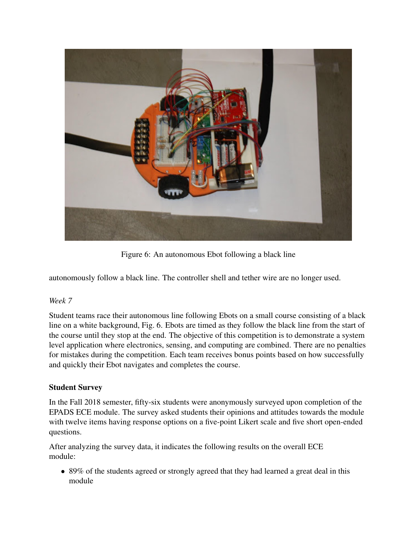

Figure 6: An autonomous Ebot following a black line

<span id="page-8-0"></span>autonomously follow a black line. The controller shell and tether wire are no longer used.

# *Week 7*

Student teams race their autonomous line following Ebots on a small course consisting of a black line on a white background, Fig. [6.](#page-8-0) Ebots are timed as they follow the black line from the start of the course until they stop at the end. The objective of this competition is to demonstrate a system level application where electronics, sensing, and computing are combined. There are no penalties for mistakes during the competition. Each team receives bonus points based on how successfully and quickly their Ebot navigates and completes the course.

# Student Survey

In the Fall 2018 semester, fifty-six students were anonymously surveyed upon completion of the EPADS ECE module. The survey asked students their opinions and attitudes towards the module with twelve items having response options on a five-point Likert scale and five short open-ended questions.

After analyzing the survey data, it indicates the following results on the overall ECE module:

• 89% of the students agreed or strongly agreed that they had learned a great deal in this module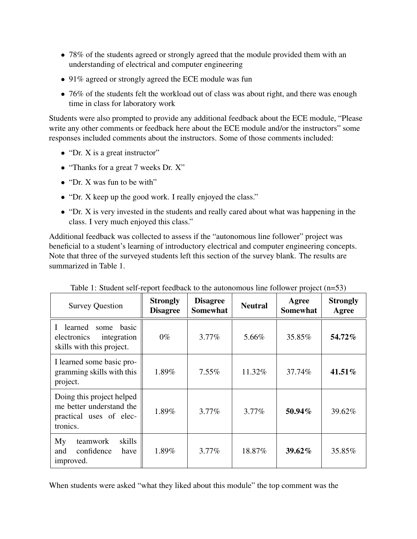- 78% of the students agreed or strongly agreed that the module provided them with an understanding of electrical and computer engineering
- 91% agreed or strongly agreed the ECE module was fun
- 76% of the students felt the workload out of class was about right, and there was enough time in class for laboratory work

Students were also prompted to provide any additional feedback about the ECE module, "Please write any other comments or feedback here about the ECE module and/or the instructors" some responses included comments about the instructors. Some of those comments included:

- "Dr. X is a great instructor"
- "Thanks for a great 7 weeks Dr. X"
- "Dr. X was fun to be with"
- "Dr. X keep up the good work. I really enjoyed the class."
- "Dr. X is very invested in the students and really cared about what was happening in the class. I very much enjoyed this class."

Additional feedback was collected to assess if the "autonomous line follower" project was beneficial to a student's learning of introductory electrical and computer engineering concepts. Note that three of the surveyed students left this section of the survey blank. The results are summarized in Table [1.](#page-9-0)

| <b>Survey Question</b>                                                                       | <b>Strongly</b><br><b>Disagree</b> | <b>Disagree</b><br><b>Somewhat</b> | <b>Neutral</b> | Agree<br><b>Somewhat</b> | <b>Strongly</b><br>Agree |
|----------------------------------------------------------------------------------------------|------------------------------------|------------------------------------|----------------|--------------------------|--------------------------|
| learned<br>some basic<br>Ш<br>electronics<br>integration<br>skills with this project.        | $0\%$                              | 3.77%                              | 5.66%          | 35.85%                   | 54.72%                   |
| I learned some basic pro-<br>gramming skills with this<br>project.                           | 1.89%                              | $7.55\%$                           | 11.32%         | 37.74%                   | 41.51%                   |
| Doing this project helped<br>me better understand the<br>practical uses of elec-<br>tronics. | 1.89%                              | $3.77\%$                           | $3.77\%$       | 50.94%                   | 39.62%                   |
| skills<br>My<br>teamwork<br>confidence<br>and<br>have<br>improved.                           | 1.89%                              | $3.77\%$                           | 18.87%         | 39.62%                   | 35.85%                   |

<span id="page-9-0"></span>Table 1: Student self-report feedback to the autonomous line follower project (n=53)

When students were asked "what they liked about this module" the top comment was the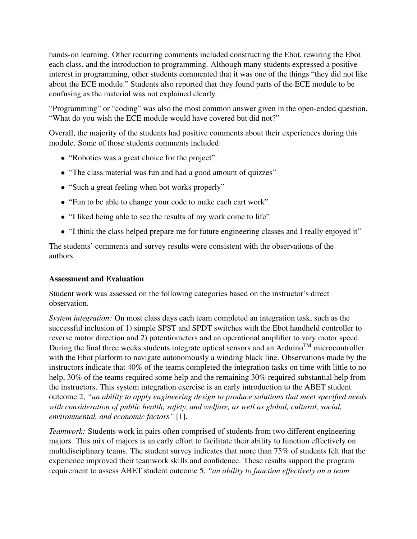hands-on learning. Other recurring comments included constructing the Ebot, rewiring the Ebot each class, and the introduction to programming. Although many students expressed a positive interest in programming, other students commented that it was one of the things "they did not like about the ECE module." Students also reported that they found parts of the ECE module to be confusing as the material was not explained clearly.

"Programming" or "coding" was also the most common answer given in the open-ended question, "What do you wish the ECE module would have covered but did not?"

Overall, the majority of the students had positive comments about their experiences during this module. Some of those students comments included:

- "Robotics was a great choice for the project"
- "The class material was fun and had a good amount of quizzes"
- "Such a great feeling when bot works properly"
- "Fun to be able to change your code to make each cart work"
- "I liked being able to see the results of my work come to life"
- "I think the class helped prepare me for future engineering classes and I really enjoyed it"

The students' comments and survey results were consistent with the observations of the authors.

### Assessment and Evaluation

Student work was assessed on the following categories based on the instructor's direct observation.

*System integration:* On most class days each team completed an integration task, such as the successful inclusion of 1) simple SPST and SPDT switches with the Ebot handheld controller to reverse motor direction and 2) potentiometers and an operational amplifier to vary motor speed. During the final three weeks students integrate optical sensors and an Arduino<sup>TM</sup> microcontroller with the Ebot platform to navigate autonomously a winding black line. Observations made by the instructors indicate that 40% of the teams completed the integration tasks on time with little to no help, 30% of the teams required some help and the remaining 30% required substantial help from the instructors. This system integration exercise is an early introduction to the ABET student outcome 2, *"an ability to apply engineering design to produce solutions that meet specified needs with consideration of public health, safety, and welfare, as well as global, cultural, social, environmental, and economic factors"* [\[1\]](#page-12-0).

*Teamwork:* Students work in pairs often comprised of students from two different engineering majors. This mix of majors is an early effort to facilitate their ability to function effectively on multidisciplinary teams. The student survey indicates that more than 75% of students felt that the experience improved their teamwork skills and confidence. These results support the program requirement to assess ABET student outcome 5, *"an ability to function effectively on a team*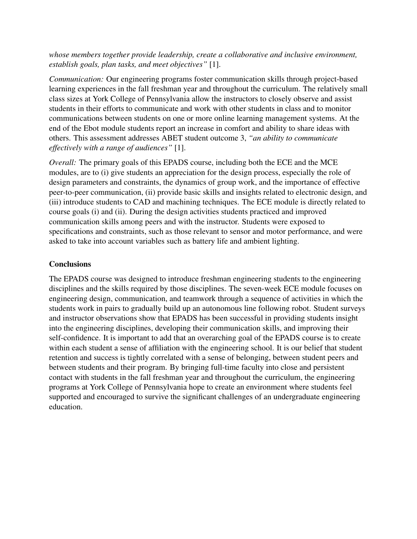*whose members together provide leadership, create a collaborative and inclusive environment, establish goals, plan tasks, and meet objectives"* [\[1\]](#page-12-0).

*Communication:* Our engineering programs foster communication skills through project-based learning experiences in the fall freshman year and throughout the curriculum. The relatively small class sizes at York College of Pennsylvania allow the instructors to closely observe and assist students in their efforts to communicate and work with other students in class and to monitor communications between students on one or more online learning management systems. At the end of the Ebot module students report an increase in comfort and ability to share ideas with others. This assessment addresses ABET student outcome 3, *"an ability to communicate effectively with a range of audiences"* [\[1\]](#page-12-0).

*Overall:* The primary goals of this EPADS course, including both the ECE and the MCE modules, are to (i) give students an appreciation for the design process, especially the role of design parameters and constraints, the dynamics of group work, and the importance of effective peer-to-peer communication, (ii) provide basic skills and insights related to electronic design, and (iii) introduce students to CAD and machining techniques. The ECE module is directly related to course goals (i) and (ii). During the design activities students practiced and improved communication skills among peers and with the instructor. Students were exposed to specifications and constraints, such as those relevant to sensor and motor performance, and were asked to take into account variables such as battery life and ambient lighting.

# **Conclusions**

The EPADS course was designed to introduce freshman engineering students to the engineering disciplines and the skills required by those disciplines. The seven-week ECE module focuses on engineering design, communication, and teamwork through a sequence of activities in which the students work in pairs to gradually build up an autonomous line following robot. Student surveys and instructor observations show that EPADS has been successful in providing students insight into the engineering disciplines, developing their communication skills, and improving their self-confidence. It is important to add that an overarching goal of the EPADS course is to create within each student a sense of affiliation with the engineering school. It is our belief that student retention and success is tightly correlated with a sense of belonging, between student peers and between students and their program. By bringing full-time faculty into close and persistent contact with students in the fall freshman year and throughout the curriculum, the engineering programs at York College of Pennsylvania hope to create an environment where students feel supported and encouraged to survive the significant challenges of an undergraduate engineering education.